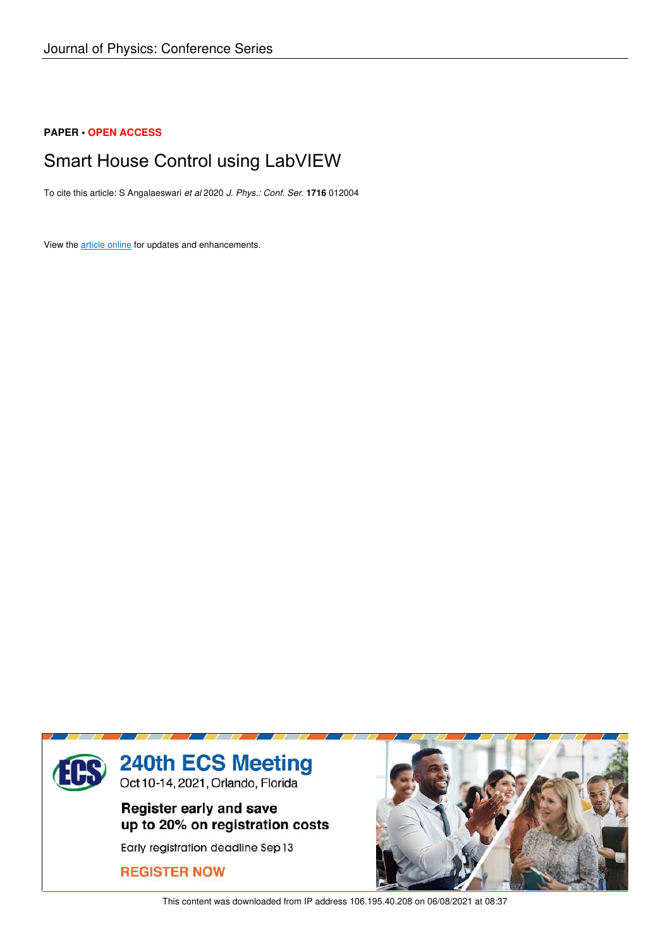## **PAPER • OPEN ACCESS**

# Smart House Control using LabVIEW

To cite this article: S Angalaeswari *et al* 2020 *J. Phys.: Conf. Ser.* **1716** 012004

View the article online for updates and enhancements.



This content was downloaded from IP address 106.195.40.208 on 06/08/2021 at 08:37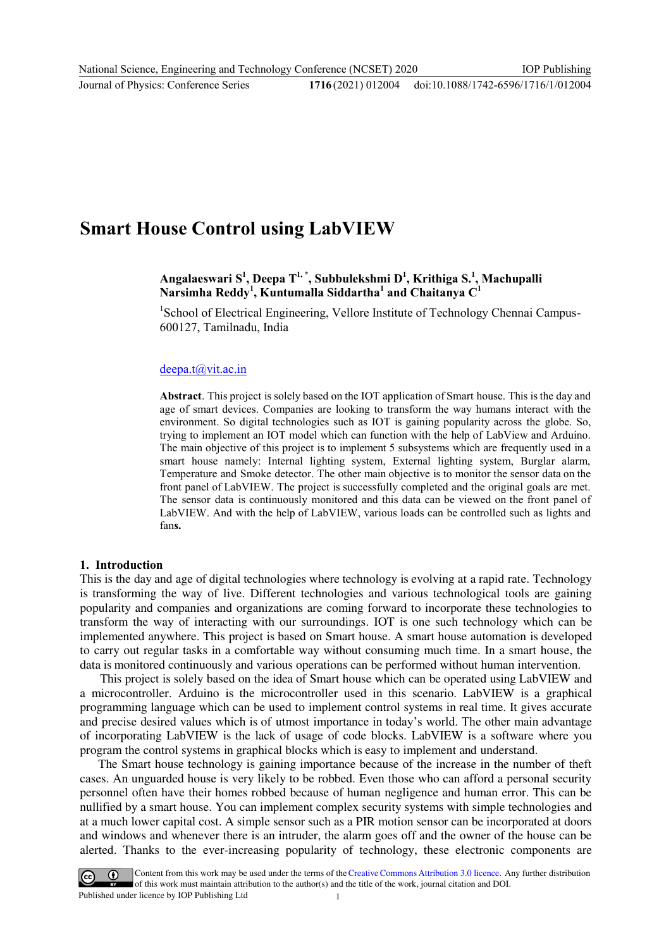# doi:10.1088/1742-6596/1716/1/012004

# **Smart House Control using LabVIEW**

# **Angalaeswari S<sup>1</sup> , Deepa T1, \*, Subbulekshmi D<sup>1</sup> , Krithiga S.<sup>1</sup> , Machupalli Narsimha Reddy<sup>1</sup> , Kuntumalla Siddartha<sup>1</sup> and Chaitanya C<sup>1</sup>**

<sup>1</sup>School of Electrical Engineering, Vellore Institute of Technology Chennai Campus-600127, Tamilnadu, India

#### [deepa.t@vit.ac.in](mailto:deepa.t@vit.ac.in)

**Abstract**. This project is solely based on the IOT application of Smart house. This is the day and age of smart devices. Companies are looking to transform the way humans interact with the environment. So digital technologies such as IOT is gaining popularity across the globe. So, trying to implement an IOT model which can function with the help of LabView and Arduino. The main objective of this project is to implement 5 subsystems which are frequently used in a smart house namely: Internal lighting system, External lighting system, Burglar alarm, Temperature and Smoke detector. The other main objective is to monitor the sensor data on the front panel of LabVIEW. The project is successfully completed and the original goals are met. The sensor data is continuously monitored and this data can be viewed on the front panel of LabVIEW. And with the help of LabVIEW, various loads can be controlled such as lights and fan**s.**

#### **1. Introduction**

This is the day and age of digital technologies where technology is evolving at a rapid rate. Technology is transforming the way of live. Different technologies and various technological tools are gaining popularity and companies and organizations are coming forward to incorporate these technologies to transform the way of interacting with our surroundings. IOT is one such technology which can be implemented anywhere. This project is based on Smart house. A smart house automation is developed to carry out regular tasks in a comfortable way without consuming much time. In a smart house, the data is monitored continuously and various operations can be performed without human intervention.

 This project is solely based on the idea of Smart house which can be operated using LabVIEW and a microcontroller. Arduino is the microcontroller used in this scenario. LabVIEW is a graphical programming language which can be used to implement control systems in real time. It gives accurate and precise desired values which is of utmost importance in today's world. The other main advantage of incorporating LabVIEW is the lack of usage of code blocks. LabVIEW is a software where you program the control systems in graphical blocks which is easy to implement and understand.

 The Smart house technology is gaining importance because of the increase in the number of theft cases. An unguarded house is very likely to be robbed. Even those who can afford a personal security personnel often have their homes robbed because of human negligence and human error. This can be nullified by a smart house. You can implement complex security systems with simple technologies and at a much lower capital cost. A simple sensor such as a PIR motion sensor can be incorporated at doors and windows and whenever there is an intruder, the alarm goes off and the owner of the house can be alerted. Thanks to the ever-increasing popularity of technology, these electronic components are

Content from this work may be used under the terms of the Creative Commons Attribution 3.0 licence. Any further distribution of this work must maintain attribution to the author(s) and the title of the work, journal citation and DOI. Published under licence by IOP Publishing Ltd 1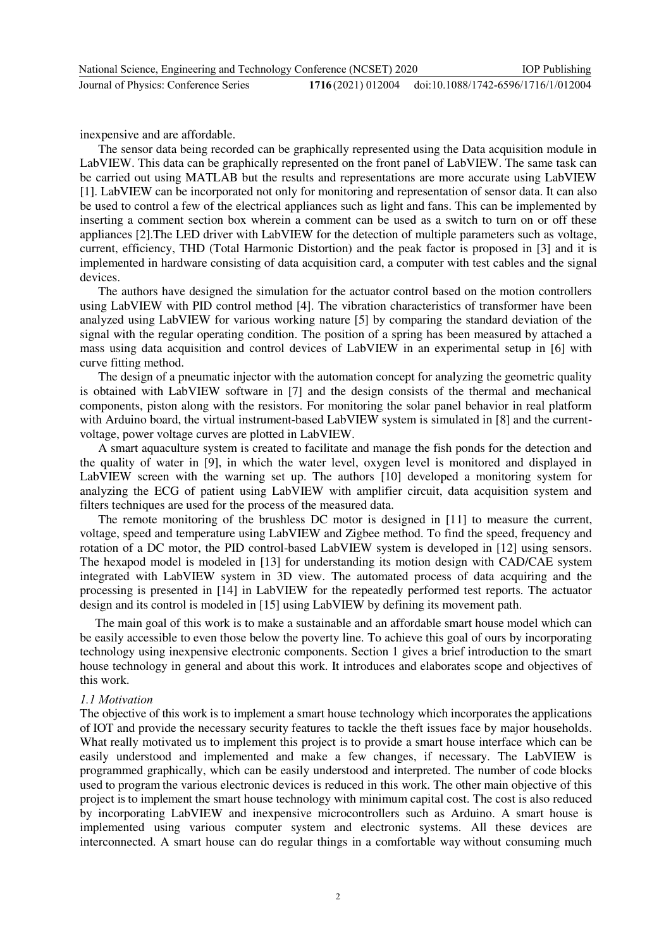inexpensive and are affordable.

 The sensor data being recorded can be graphically represented using the Data acquisition module in LabVIEW. This data can be graphically represented on the front panel of LabVIEW. The same task can be carried out using MATLAB but the results and representations are more accurate using LabVIEW [1]. LabVIEW can be incorporated not only for monitoring and representation of sensor data. It can also be used to control a few of the electrical appliances such as light and fans. This can be implemented by inserting a comment section box wherein a comment can be used as a switch to turn on or off these appliances [2].The LED driver with LabVIEW for the detection of multiple parameters such as voltage, current, efficiency, THD (Total Harmonic Distortion) and the peak factor is proposed in [3] and it is implemented in hardware consisting of data acquisition card, a computer with test cables and the signal devices.

 The authors have designed the simulation for the actuator control based on the motion controllers using LabVIEW with PID control method [4]. The vibration characteristics of transformer have been analyzed using LabVIEW for various working nature [5] by comparing the standard deviation of the signal with the regular operating condition. The position of a spring has been measured by attached a mass using data acquisition and control devices of LabVIEW in an experimental setup in [6] with curve fitting method.

 The design of a pneumatic injector with the automation concept for analyzing the geometric quality is obtained with LabVIEW software in [7] and the design consists of the thermal and mechanical components, piston along with the resistors. For monitoring the solar panel behavior in real platform with Arduino board, the virtual instrument-based LabVIEW system is simulated in [8] and the currentvoltage, power voltage curves are plotted in LabVIEW.

 A smart aquaculture system is created to facilitate and manage the fish ponds for the detection and the quality of water in [9], in which the water level, oxygen level is monitored and displayed in LabVIEW screen with the warning set up. The authors [10] developed a monitoring system for analyzing the ECG of patient using LabVIEW with amplifier circuit, data acquisition system and filters techniques are used for the process of the measured data.

 The remote monitoring of the brushless DC motor is designed in [11] to measure the current, voltage, speed and temperature using LabVIEW and Zigbee method. To find the speed, frequency and rotation of a DC motor, the PID control-based LabVIEW system is developed in [12] using sensors. The hexapod model is modeled in [13] for understanding its motion design with CAD/CAE system integrated with LabVIEW system in 3D view. The automated process of data acquiring and the processing is presented in [14] in LabVIEW for the repeatedly performed test reports. The actuator design and its control is modeled in [15] using LabVIEW by defining its movement path.

The main goal of this work is to make a sustainable and an affordable smart house model which can be easily accessible to even those below the poverty line. To achieve this goal of ours by incorporating technology using inexpensive electronic components. Section 1 gives a brief introduction to the smart house technology in general and about this work. It introduces and elaborates scope and objectives of this work.

### *1.1 Motivation*

The objective of this work is to implement a smart house technology which incorporates the applications of IOT and provide the necessary security features to tackle the theft issues face by major households. What really motivated us to implement this project is to provide a smart house interface which can be easily understood and implemented and make a few changes, if necessary. The LabVIEW is programmed graphically, which can be easily understood and interpreted. The number of code blocks used to program the various electronic devices is reduced in this work. The other main objective of this project is to implement the smart house technology with minimum capital cost. The cost is also reduced by incorporating LabVIEW and inexpensive microcontrollers such as Arduino. A smart house is implemented using various computer system and electronic systems. All these devices are interconnected. A smart house can do regular things in a comfortable way without consuming much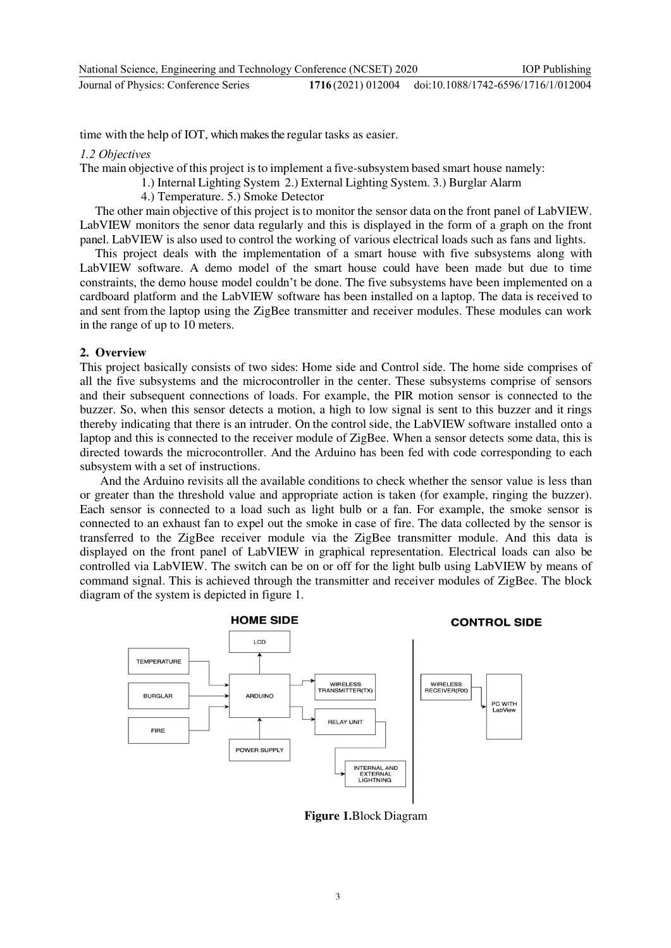time with the help of IOT, which makes the regular tasks as easier.

*1.2 Objectives* 

The main objective of this project is to implement a five-subsystem based smart house namely:

- 1.) Internal Lighting System 2.) External Lighting System. 3.) Burglar Alarm
	- 4.) Temperature. 5.) Smoke Detector

The other main objective of this project isto monitor the sensor data on the front panel of LabVIEW. LabVIEW monitors the senor data regularly and this is displayed in the form of a graph on the front panel. LabVIEW is also used to control the working of various electrical loads such as fans and lights.

This project deals with the implementation of a smart house with five subsystems along with LabVIEW software. A demo model of the smart house could have been made but due to time constraints, the demo house model couldn't be done. The five subsystems have been implemented on a cardboard platform and the LabVIEW software has been installed on a laptop. The data is received to and sent from the laptop using the ZigBee transmitter and receiver modules. These modules can work in the range of up to 10 meters.

### **2. Overview**

This project basically consists of two sides: Home side and Control side. The home side comprises of all the five subsystems and the microcontroller in the center. These subsystems comprise of sensors and their subsequent connections of loads. For example, the PIR motion sensor is connected to the buzzer. So, when this sensor detects a motion, a high to low signal is sent to this buzzer and it rings thereby indicating that there is an intruder. On the control side, the LabVIEW software installed onto a laptop and this is connected to the receiver module of ZigBee. When a sensor detects some data, this is directed towards the microcontroller. And the Arduino has been fed with code corresponding to each subsystem with a set of instructions.

 And the Arduino revisits all the available conditions to check whether the sensor value is less than or greater than the threshold value and appropriate action is taken (for example, ringing the buzzer). Each sensor is connected to a load such as light bulb or a fan. For example, the smoke sensor is connected to an exhaust fan to expel out the smoke in case of fire. The data collected by the sensor is transferred to the ZigBee receiver module via the ZigBee transmitter module. And this data is displayed on the front panel of LabVIEW in graphical representation. Electrical loads can also be controlled via LabVIEW. The switch can be on or off for the light bulb using LabVIEW by means of command signal. This is achieved through the transmitter and receiver modules of ZigBee. The block diagram of the system is depicted in figure 1.



**Figure 1.**Block Diagram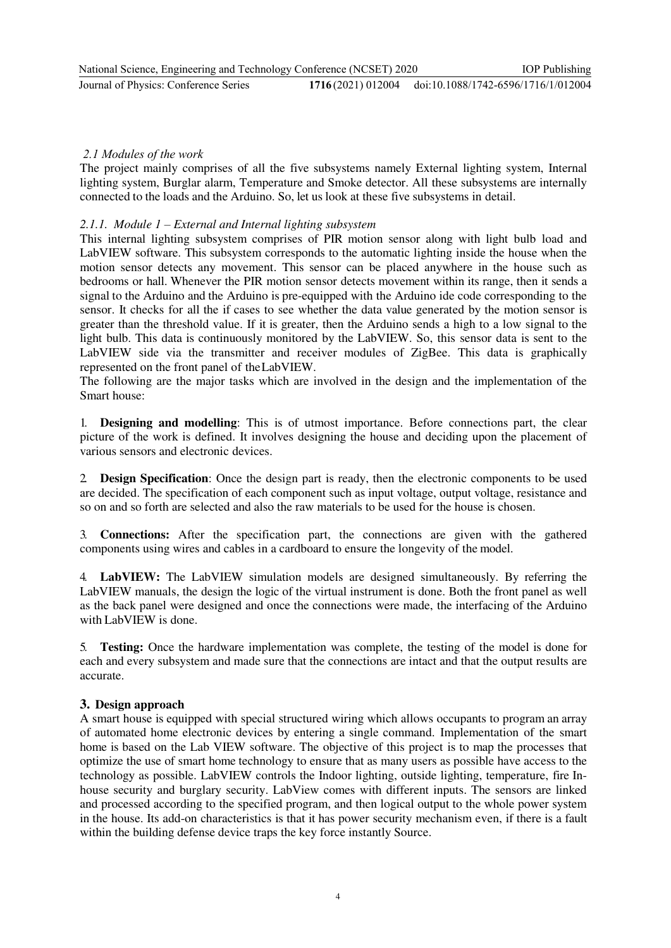## *2.1 Modules of the work*

The project mainly comprises of all the five subsystems namely External lighting system, Internal lighting system, Burglar alarm, Temperature and Smoke detector. All these subsystems are internally connected to the loads and the Arduino. So, let us look at these five subsystems in detail.

## *2.1.1. Module 1 – External and Internal lighting subsystem*

This internal lighting subsystem comprises of PIR motion sensor along with light bulb load and LabVIEW software. This subsystem corresponds to the automatic lighting inside the house when the motion sensor detects any movement. This sensor can be placed anywhere in the house such as bedrooms or hall. Whenever the PIR motion sensor detects movement within its range, then it sends a signal to the Arduino and the Arduino is pre-equipped with the Arduino ide code corresponding to the sensor. It checks for all the if cases to see whether the data value generated by the motion sensor is greater than the threshold value. If it is greater, then the Arduino sends a high to a low signal to the light bulb. This data is continuously monitored by the LabVIEW. So, this sensor data is sent to the LabVIEW side via the transmitter and receiver modules of ZigBee. This data is graphically represented on the front panel of the LabVIEW.

The following are the major tasks which are involved in the design and the implementation of the Smart house:

1. **Designing and modelling**: This is of utmost importance. Before connections part, the clear picture of the work is defined. It involves designing the house and deciding upon the placement of various sensors and electronic devices.

2. **Design Specification**: Once the design part is ready, then the electronic components to be used are decided. The specification of each component such as input voltage, output voltage, resistance and so on and so forth are selected and also the raw materials to be used for the house is chosen.

3. **Connections:** After the specification part, the connections are given with the gathered components using wires and cables in a cardboard to ensure the longevity of the model.

4. **LabVIEW:** The LabVIEW simulation models are designed simultaneously. By referring the LabVIEW manuals, the design the logic of the virtual instrument is done. Both the front panel as well as the back panel were designed and once the connections were made, the interfacing of the Arduino with LabVIEW is done.

5. **Testing:** Once the hardware implementation was complete, the testing of the model is done for each and every subsystem and made sure that the connections are intact and that the output results are accurate.

### **3. Design approach**

A smart house is equipped with special structured wiring which allows occupants to program an array of automated home electronic devices by entering a single command. Implementation of the smart home is based on the Lab VIEW software. The objective of this project is to map the processes that optimize the use of smart home technology to ensure that as many users as possible have access to the technology as possible. LabVIEW controls the Indoor lighting, outside lighting, temperature, fire Inhouse security and burglary security. LabView comes with different inputs. The sensors are linked and processed according to the specified program, and then logical output to the whole power system in the house. Its add-on characteristics is that it has power security mechanism even, if there is a fault within the building defense device traps the key force instantly Source.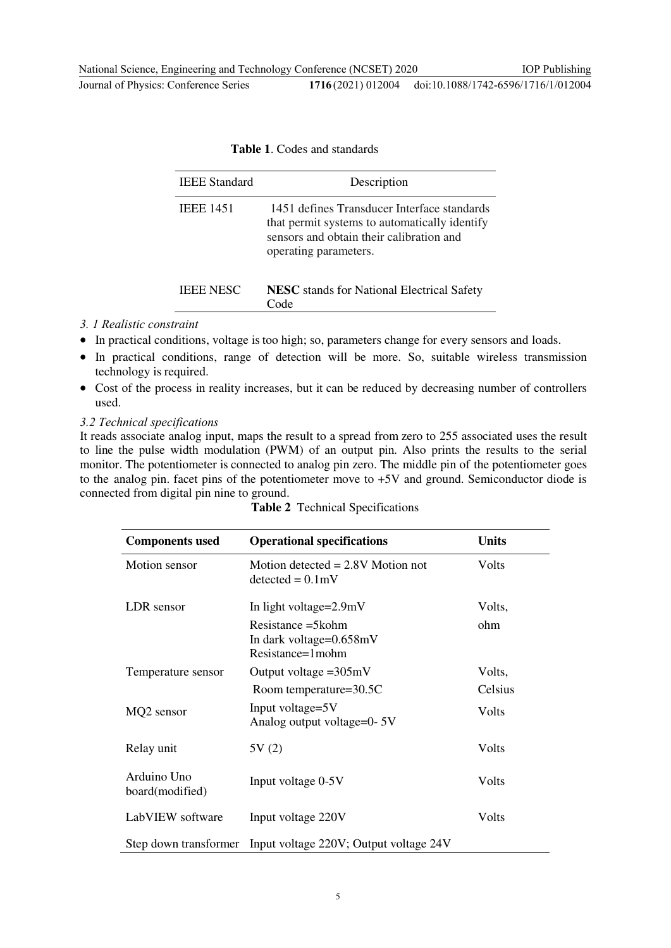|  |  | <b>Table 1. Codes and standards</b> |
|--|--|-------------------------------------|
|  |  |                                     |

| <b>IEEE</b> Standard | Description                                                                                                                                                       |
|----------------------|-------------------------------------------------------------------------------------------------------------------------------------------------------------------|
| <b>IEEE 1451</b>     | 1451 defines Transducer Interface standards<br>that permit systems to automatically identify<br>sensors and obtain their calibration and<br>operating parameters. |
| <b>IEEE NESC</b>     | <b>NESC</b> stands for National Electrical Safety<br>'ode                                                                                                         |

#### *3. 1 Realistic constraint*

- In practical conditions, voltage is too high; so, parameters change for every sensors and loads.
- In practical conditions, range of detection will be more. So, suitable wireless transmission technology is required.
- Cost of the process in reality increases, but it can be reduced by decreasing number of controllers used.

*3.2 Technical specifications*

It reads associate analog input, maps the result to a spread from zero to 255 associated uses the result to line the pulse width modulation (PWM) of an output pin. Also prints the results to the serial monitor. The potentiometer is connected to analog pin zero. The middle pin of the potentiometer goes to the analog pin. facet pins of the potentiometer move to +5V and ground. Semiconductor diode is connected from digital pin nine to ground.

| <b>Components used</b>         | <b>Operational specifications</b>                                        | <b>Units</b> |
|--------------------------------|--------------------------------------------------------------------------|--------------|
| Motion sensor                  | Motion detected $= 2.8V$ Motion not<br>$detected = 0.1mV$                | Volts        |
| LDR sensor                     | In light voltage=2.9mV                                                   | Volts,       |
|                                | Resistance $=$ 5 kohm<br>In dark voltage= $0.658$ mV<br>Resistance=1mohm | ohm          |
| Temperature sensor             | Output voltage $=305mV$                                                  | Volts,       |
|                                | Room temperature=30.5C                                                   | Celsius      |
| MQ2 sensor                     | Input voltage=5V<br>Analog output voltage=0-5V                           | Volts        |
| Relay unit                     | 5V(2)                                                                    | Volts        |
| Arduino Uno<br>board(modified) | Input voltage 0-5V                                                       | Volts        |
| LabVIEW software               | Input voltage 220V                                                       | Volts        |
|                                | Step down transformer Input voltage 220V; Output voltage 24V             |              |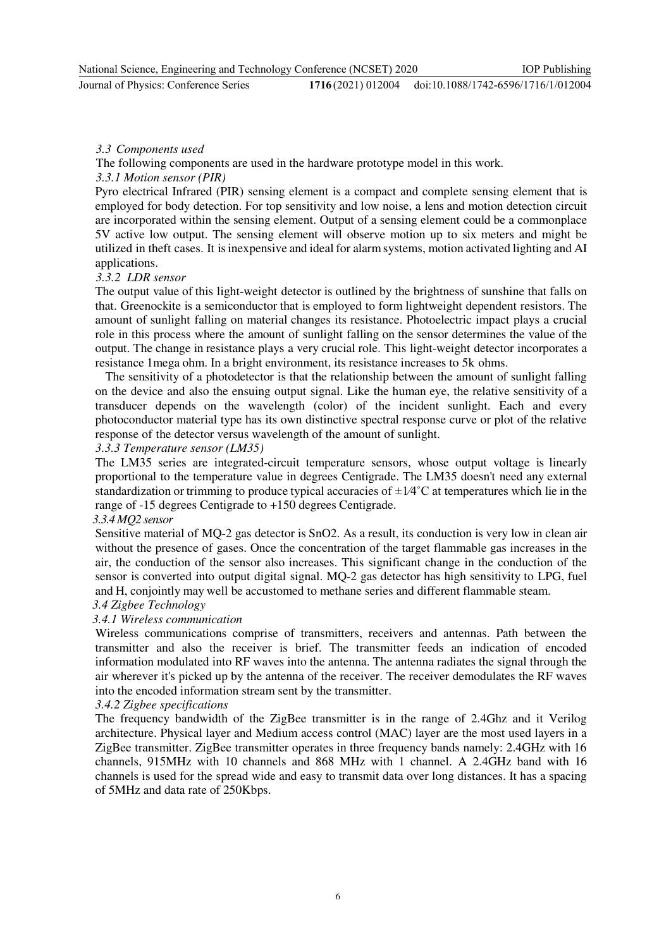**Journal of Physics: Conference Series** 

## *3.3 Components used*

The following components are used in the hardware prototype model in this work.

## *3.3.1 Motion sensor (PIR)*

Pyro electrical Infrared (PIR) sensing element is a compact and complete sensing element that is employed for body detection. For top sensitivity and low noise, a lens and motion detection circuit are incorporated within the sensing element. Output of a sensing element could be a commonplace 5V active low output. The sensing element will observe motion up to six meters and might be utilized in theft cases. It is inexpensive and ideal for alarm systems, motion activated lighting and AI applications.

## *3.3.2 LDR sensor*

The output value of this light-weight detector is outlined by the brightness of sunshine that falls on that. Greenockite is a semiconductor that is employed to form lightweight dependent resistors. The amount of sunlight falling on material changes its resistance. Photoelectric impact plays a crucial role in this process where the amount of sunlight falling on the sensor determines the value of the output. The change in resistance plays a very crucial role. This light-weight detector incorporates a resistance 1mega ohm. In a bright environment, its resistance increases to 5k ohms.

The sensitivity of a photodetector is that the relationship between the amount of sunlight falling on the device and also the ensuing output signal. Like the human eye, the relative sensitivity of a transducer depends on the wavelength (color) of the incident sunlight. Each and every photoconductor material type has its own distinctive spectral response curve or plot of the relative response of the detector versus wavelength of the amount of sunlight.

### *3.3.3 Temperature sensor (LM35)*

The LM35 series are integrated-circuit temperature sensors, whose output voltage is linearly proportional to the temperature value in degrees Centigrade. The LM35 doesn't need any external standardization or trimming to produce typical accuracies of  $\pm 1/4$ °C at temperatures which lie in the range of -15 degrees Centigrade to +150 degrees Centigrade.

### *3.3.4 MQ2 sensor*

Sensitive material of MQ-2 gas detector is SnO2. As a result, its conduction is very low in clean air without the presence of gases. Once the concentration of the target flammable gas increases in the air, the conduction of the sensor also increases. This significant change in the conduction of the sensor is converted into output digital signal. MQ-2 gas detector has high sensitivity to LPG, fuel and H, conjointly may well be accustomed to methane series and different flammable steam.

### *3.4 Zigbee Technology*

### *3.4.1 Wireless communication*

Wireless communications comprise of transmitters, receivers and antennas. Path between the transmitter and also the receiver is brief. The transmitter feeds an indication of encoded information modulated into RF waves into the antenna. The antenna radiates the signal through the air wherever it's picked up by the antenna of the receiver. The receiver demodulates the RF waves into the encoded information stream sent by the transmitter.

### *3.4.2 Zigbee specifications*

The frequency bandwidth of the ZigBee transmitter is in the range of 2.4Ghz and it Verilog architecture. Physical layer and Medium access control (MAC) layer are the most used layers in a ZigBee transmitter. ZigBee transmitter operates in three frequency bands namely: 2.4GHz with 16 channels, 915MHz with 10 channels and 868 MHz with 1 channel. A 2.4GHz band with 16 channels is used for the spread wide and easy to transmit data over long distances. It has a spacing of 5MHz and data rate of 250Kbps.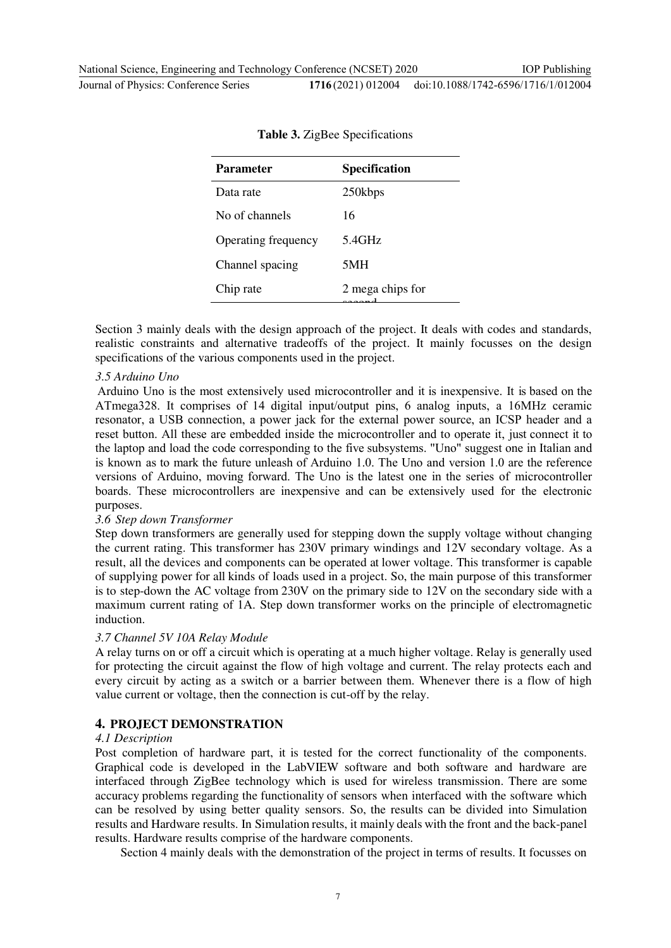Journal of Physics: Conference Series **1716** (2021) 012004 doi:10.1088/1742-6596/1716/1/012004

| <b>Specification</b> |
|----------------------|
| 250kbps              |
| 16                   |
| 5.4GHz               |
| 5MH                  |
| 2 mega chips for     |
|                      |

| Table 3. ZigBee Specifications |  |  |
|--------------------------------|--|--|
|--------------------------------|--|--|

Section 3 mainly deals with the design approach of the project. It deals with codes and standards, realistic constraints and alternative tradeoffs of the project. It mainly focusses on the design specifications of the various components used in the project.

### *3.5 Arduino Uno*

Arduino Uno is the most extensively used microcontroller and it is inexpensive. It is based on the ATmega328. It comprises of 14 digital input/output pins, 6 analog inputs, a 16MHz ceramic resonator, a USB connection, a power jack for the external power source, an ICSP header and a reset button. All these are embedded inside the microcontroller and to operate it, just connect it to the laptop and load the code corresponding to the five subsystems. "Uno" suggest one in Italian and is known as to mark the future unleash of Arduino 1.0. The Uno and version 1.0 are the reference versions of Arduino, moving forward. The Uno is the latest one in the series of microcontroller boards. These microcontrollers are inexpensive and can be extensively used for the electronic purposes.

### *3.6 Step down Transformer*

Step down transformers are generally used for stepping down the supply voltage without changing the current rating. This transformer has 230V primary windings and 12V secondary voltage. As a result, all the devices and components can be operated at lower voltage. This transformer is capable of supplying power for all kinds of loads used in a project. So, the main purpose of this transformer is to step-down the AC voltage from 230V on the primary side to 12V on the secondary side with a maximum current rating of 1A. Step down transformer works on the principle of electromagnetic induction.

### *3.7 Channel 5V 10A Relay Module*

A relay turns on or off a circuit which is operating at a much higher voltage. Relay is generally used for protecting the circuit against the flow of high voltage and current. The relay protects each and every circuit by acting as a switch or a barrier between them. Whenever there is a flow of high value current or voltage, then the connection is cut-off by the relay.

### **4. PROJECT DEMONSTRATION**

#### *4.1 Description*

Post completion of hardware part, it is tested for the correct functionality of the components. Graphical code is developed in the LabVIEW software and both software and hardware are interfaced through ZigBee technology which is used for wireless transmission. There are some accuracy problems regarding the functionality of sensors when interfaced with the software which can be resolved by using better quality sensors. So, the results can be divided into Simulation results and Hardware results. In Simulation results, it mainly deals with the front and the back-panel results. Hardware results comprise of the hardware components.

Section 4 mainly deals with the demonstration of the project in terms of results. It focusses on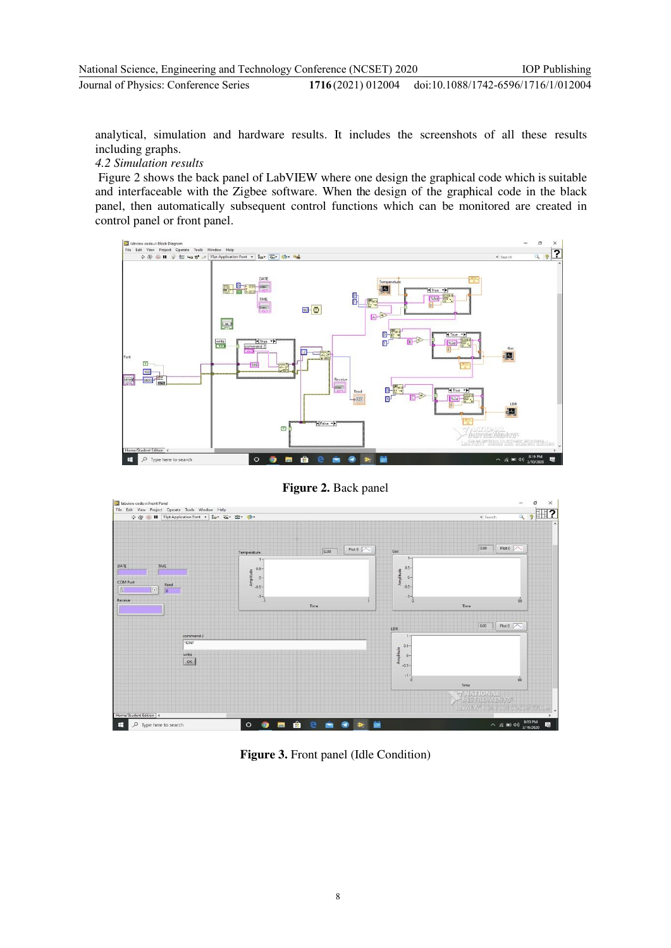analytical, simulation and hardware results. It includes the screenshots of all these results including graphs.

## *4.2 Simulation results*

 Figure 2 shows the back panel of LabVIEW where one design the graphical code which is suitable and interfaceable with the Zigbee software. When the design of the graphical code in the black panel, then automatically subsequent control functions which can be monitored are created in control panel or front panel.



**Figure 2.** Back panel



**Figure 3.** Front panel (Idle Condition)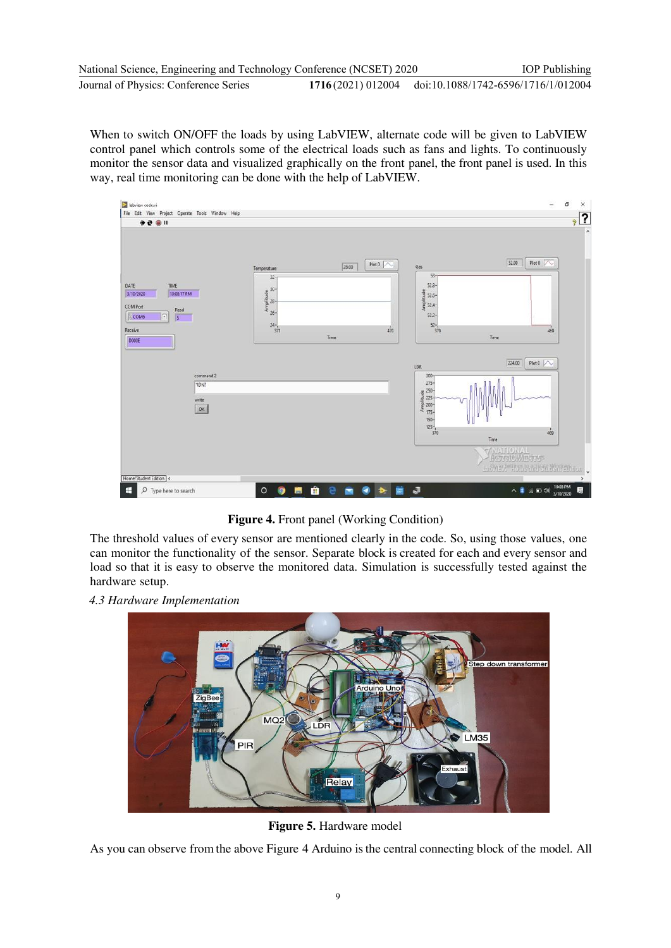When to switch ON/OFF the loads by using LabVIEW, alternate code will be given to LabVIEW control panel which controls some of the electrical loads such as fans and lights. To continuously monitor the sensor data and visualized graphically on the front panel, the front panel is used. In this way, real time monitoring can be done with the help of LabVIEW.



**Figure 4.** Front panel (Working Condition)

The threshold values of every sensor are mentioned clearly in the code. So, using those values, one can monitor the functionality of the sensor. Separate block is created for each and every sensor and load so that it is easy to observe the monitored data. Simulation is successfully tested against the hardware setup.

 *4.3 Hardware Implementation* 



**Figure 5.** Hardware model

As you can observe from the above Figure 4 Arduino is the central connecting block of the model. All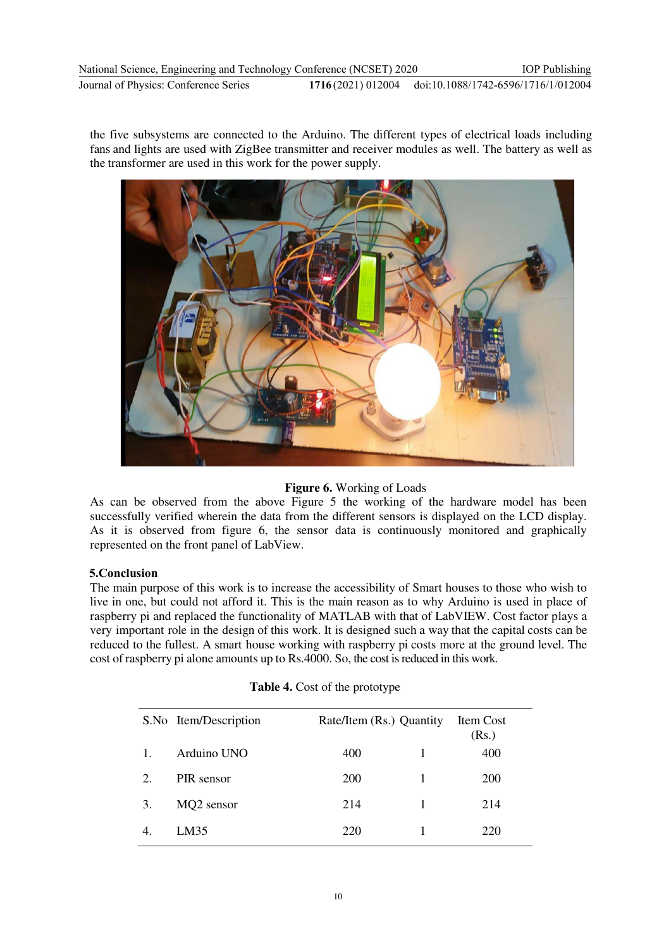the five subsystems are connected to the Arduino. The different types of electrical loads including fans and lights are used with ZigBee transmitter and receiver modules as well. The battery as well as the transformer are used in this work for the power supply.



# **Figure 6.** Working of Loads

As can be observed from the above Figure 5 the working of the hardware model has been successfully verified wherein the data from the different sensors is displayed on the LCD display. As it is observed from figure 6, the sensor data is continuously monitored and graphically represented on the front panel of LabView.

# **5.Conclusion**

The main purpose of this work is to increase the accessibility of Smart houses to those who wish to live in one, but could not afford it. This is the main reason as to why Arduino is used in place of raspberry pi and replaced the functionality of MATLAB with that of LabVIEW. Cost factor plays a very important role in the design of this work. It is designed such a way that the capital costs can be reduced to the fullest. A smart house working with raspberry pi costs more at the ground level. The cost of raspberry pi alone amounts up to Rs.4000. So, the cost is reduced in this work.

|                             | S.No Item/Description | Rate/Item (Rs.) Quantity |   | Item Cost<br>(Rs.) |
|-----------------------------|-----------------------|--------------------------|---|--------------------|
| 1.                          | Arduino UNO           | 400                      |   | 400                |
| $\mathcal{D}_{\mathcal{L}}$ | PIR sensor            | <b>200</b>               | 1 | <b>200</b>         |
| 3.                          | MQ2 sensor            | 214                      | 1 | 214                |
|                             | LM35                  | 220                      |   | 220                |

### **Table 4.** Cost of the prototype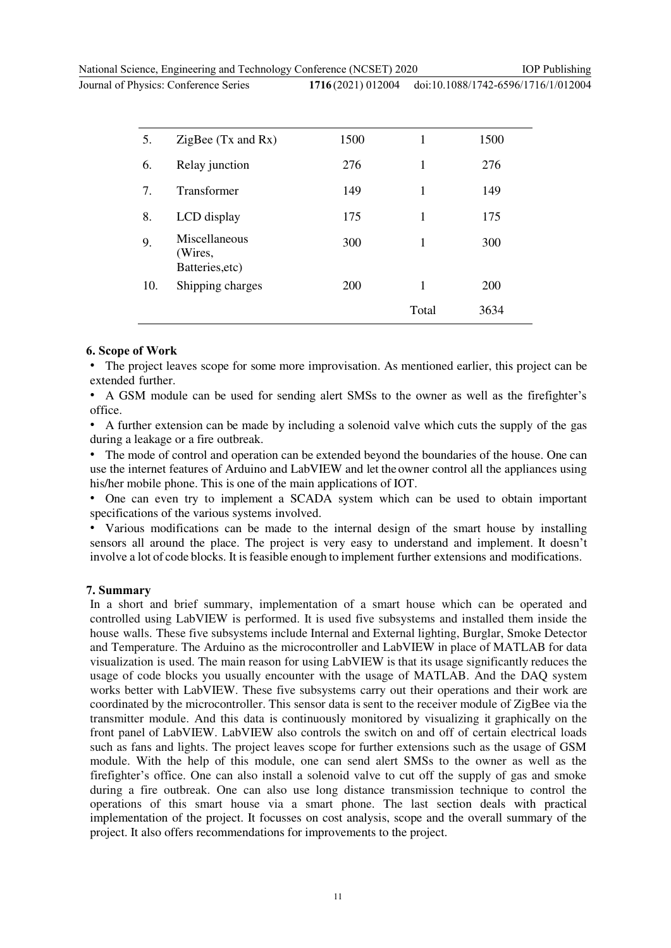National Science, Engineering and Technology Conference (NCSET) 2020

Journal of Physics: Conference Series **1716** (202)

IOP Publishing

| 1) 012004 | doi:10.1088/1742-6596/1716/1/012004 |
|-----------|-------------------------------------|
|-----------|-------------------------------------|

| 5.  | ZigBee $(Tx$ and $Rx)$                      | 1500 | 1     | 1500       |  |
|-----|---------------------------------------------|------|-------|------------|--|
| 6.  | Relay junction                              | 276  | 1     | 276        |  |
| 7.  | <b>Transformer</b>                          | 149  | 1     | 149        |  |
| 8.  | LCD display                                 | 175  | 1     | 175        |  |
| 9.  | Miscellaneous<br>(Wires,<br>Batteries, etc) | 300  | 1     | 300        |  |
| 10. | Shipping charges                            | 200  | 1     | <b>200</b> |  |
|     |                                             |      | Total | 3634       |  |

#### **6. Scope of Work**

• The project leaves scope for some more improvisation. As mentioned earlier, this project can be extended further.

• A GSM module can be used for sending alert SMSs to the owner as well as the firefighter's office.

• A further extension can be made by including a solenoid valve which cuts the supply of the gas during a leakage or a fire outbreak.

• The mode of control and operation can be extended beyond the boundaries of the house. One can use the internet features of Arduino and LabVIEW and let the owner control all the appliances using his/her mobile phone. This is one of the main applications of IOT.

• One can even try to implement a SCADA system which can be used to obtain important specifications of the various systems involved.

• Various modifications can be made to the internal design of the smart house by installing sensors all around the place. The project is very easy to understand and implement. It doesn't involve a lot of code blocks. It is feasible enough to implement further extensions and modifications.

### **7. Summary**

In a short and brief summary, implementation of a smart house which can be operated and controlled using LabVIEW is performed. It is used five subsystems and installed them inside the house walls. These five subsystems include Internal and External lighting, Burglar, Smoke Detector and Temperature. The Arduino as the microcontroller and LabVIEW in place of MATLAB for data visualization is used. The main reason for using LabVIEW is that its usage significantly reduces the usage of code blocks you usually encounter with the usage of MATLAB. And the DAQ system works better with LabVIEW. These five subsystems carry out their operations and their work are coordinated by the microcontroller. This sensor data is sent to the receiver module of ZigBee via the transmitter module. And this data is continuously monitored by visualizing it graphically on the front panel of LabVIEW. LabVIEW also controls the switch on and off of certain electrical loads such as fans and lights. The project leaves scope for further extensions such as the usage of GSM module. With the help of this module, one can send alert SMSs to the owner as well as the firefighter's office. One can also install a solenoid valve to cut off the supply of gas and smoke during a fire outbreak. One can also use long distance transmission technique to control the operations of this smart house via a smart phone. The last section deals with practical implementation of the project. It focusses on cost analysis, scope and the overall summary of the project. It also offers recommendations for improvements to the project.